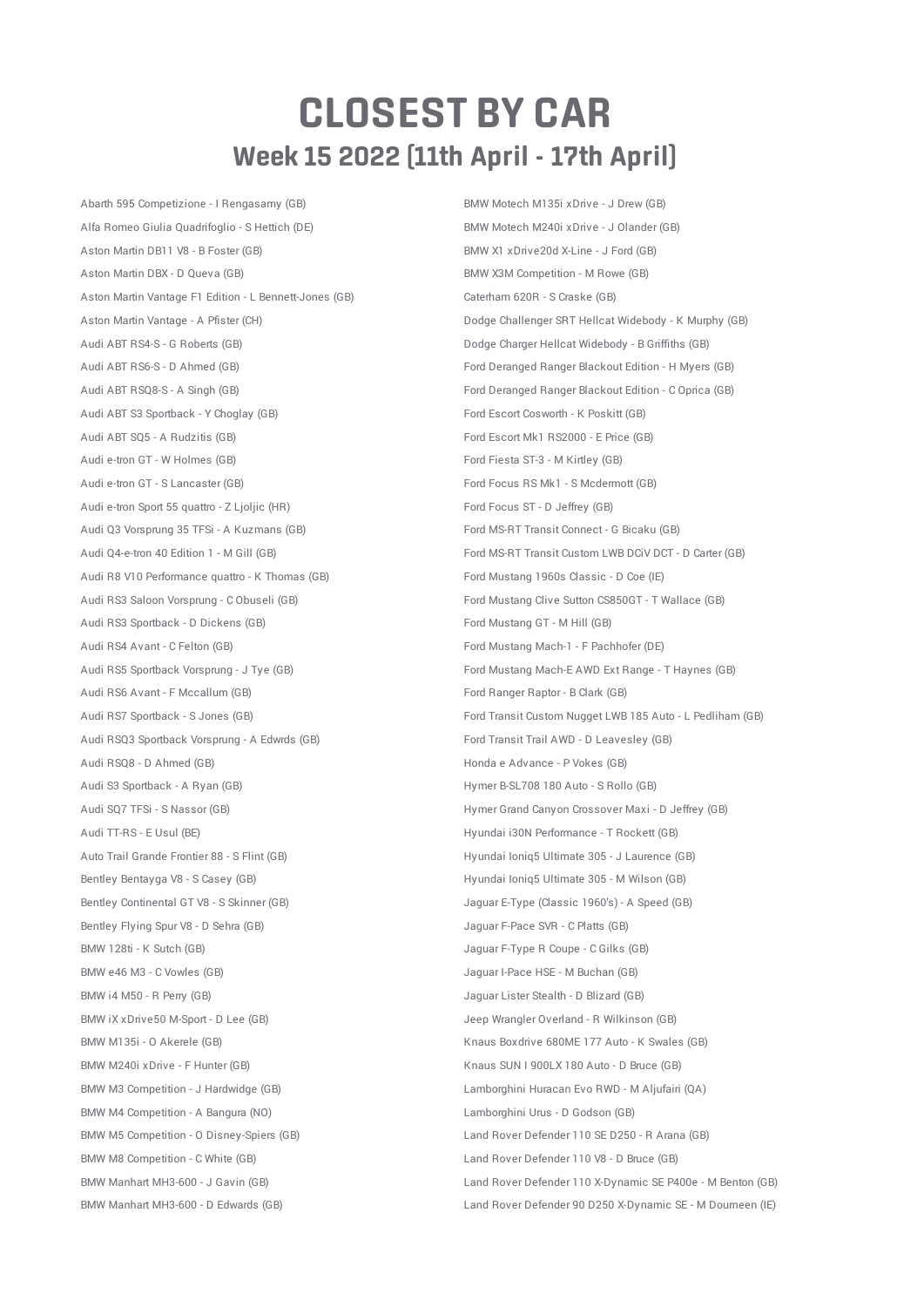## **CLOSEST BY CAR Week 15 2022 (11th April - 17th April)**

Abarth 595 Competizione - I Rengasamy (GB) BMW Motech M135i xDrive - J Drew (GB) Alfa Romeo Giulia Quadrifoglio - S Hettich (DE) BMW Motech M240i xDrive - J Olander (GB) Aston Martin DB11 V8 - B Foster (GB) BMW X1 xDrive20d X-Line - J Ford (GB) Aston Martin DBX - D Queva (GB) <br>
BMW X3M Competition - M Rowe (GB) Aston Martin Vantage F1 Edition - L Bennett-Jones (GB) Caterham 620R - S Craske (GB) Audi ABT RS4-S - G Roberts (GB) Dodge Charger Hellcat Widebody - B Griffiths (GB) Audi ABT S3 Sportback - Y Choglay (GB) Ford Escort Cosworth - K Poskitt (GB) Audi ABT SQ5 - A Rudzitis (GB) Ford Escort Mk1 RS2000 - E Price (GB) Audi e-tron GT - W Holmes (GB) extending the ST-3 - M Kirtley (GB) Ford Fiesta ST-3 - M Kirtley (GB) Audi e-tron GT - S Lancaster (GB) Ford Focus RS Mk1 - S Mcdermott (GB) Audi e-tron Sport 55 quattro - Z Ljoljic (HR) Ford Focus ST - D Jeffrey (GB) Audi Q3 Vorsprung 35 TFSi - A Kuzmans (GB) Ford MS-RT Transit Connect - G Bicaku (GB) Audi R8 V10 Performance quattro - K Thomas (GB) Ford Mustang 1960s Classic - D Coe (IE) Audi RS3 Sportback - D Dickens (GB) Ford Mustang GT - M Hill (GB) Audi RS4 Avant - C Felton (GB) Ford Mustang Mach-1 - F Pachhofer (DE) Audi RS6 Avant - F Mccallum (GB) Ford Ranger Raptor - B Clark (GB) Audi RSQ3 Sportback Vorsprung - A Edwrds (GB) Ford Transit Trail AWD - D Leavesley (GB) Audi RSQ8 - D Ahmed (GB) 
(GB)

(Audi RSQ8 - D Ahmed (GB)

(BB)

(Audi RSQ8 - D Ahmed (GB)

(BB)

(Audi RSQ8 - D Vokes (GB)

(BB)

(Audi RSQ8 - D Vokes (GB)

(BB)

(Audi RSQ8 - D Vokes (GB)

(BB)

(Audi RSQ8 - D Vokes (GB) Audi S3 Sportback - A Ryan (GB) Hymer B-SL708 180 Auto - S Rollo (GB) Audi TT-RS - E Usul (BE) THE SECOND CONSERVERSITY OF THE SECOND HYUNDAI I30N Performance - T Rockett (GB) Auto Trail Grande Frontier 88 - S Flint (GB) Hyundai Ioniq5 Ultimate 305 - J Laurence (GB) Bentley Bentayga V8 - S Casey (GB) **Hyundai Ioniq5 Ultimate 305 - M Wilson (GB)** Hyundai Ioniq5 Ultimate 305 - M Wilson (GB) Bentley Continental GT V8 - S Skinner (GB)  $J$ aguar E-Type (Classic 1960's) - A Speed (GB) Bentley Flying Spur V8 - D Sehra (GB)  $J$ aguar F-Pace SVR - C Platts (GB) BMW 128ti - K Sutch (GB)  $J$ aguar F-Type R Coupe - C Gilks (GB) BMW e46 M3 - C Vowles (GB) Jaguar I-Pace HSE - M Buchan (GB) BMW i4 M50 - R Perry (GB) Jaguar Lister Stealth - D Blizard (GB) BMW iX xDrive50 M-Sport - D Lee (GB)  $\rule{1em}{0.15mm}$  Jeep Wrangler Overland - R Wilkinson (GB) BMW M135i - O Akerele (GB) 
BMW M135i - O Akerele (GB) 
BMW M135i - O Akerele (GB) BMW M240i xDrive - F Hunter (GB) 
BMW M240i xDrive - F Hunter (GB) BMW M3 Competition - J Hardwidge (GB) Lamborghini Huracan Evo RWD - M Aljufairi (QA) BMW M4 Competition - A Bangura (NO) 
(B)

Lamborghini Urus - D Godson (GB) BMW M5 Competition - O Disney-Spiers (GB) Land Rover Defender 110 SE D250 - R Arana (GB) BMW M8 Competition - C White (GB) Computer Computer Computer Computer Computer Computer Computer Computer Computer Computer Computer Computer Computer Computer Computer Computer Computer Computer Computer Computer Computer

Aston Martin Vantage - A Pfister (CH) <br>
Dodge Challenger SRT Hellcat Widebody - K Murphy (GB) Audi ABT RS6-S - D Ahmed (GB) Ford Deranged Ranger Blackout Edition - H Myers (GB) Audi ABT RSQ8-S - A Singh (GB) Ford Deranged Ranger Blackout Edition - C Oprica (GB) Audi Q4-e-tron 40 Edition 1 - M Gill (GB) Ford MS-RT Transit Custom LWB DCiV DCT - D Carter (GB) Audi RS3 Saloon Vorsprung - C Obuseli (GB) Ford Mustang Clive Sutton CS850GT - T Wallace (GB) Audi RS5 Sportback Vorsprung - J Tye (GB) Ford Mustang Mach-E AWD Ext Range - T Haynes (GB) Audi RS7 Sportback - S Jones (GB) The State of Custom School School Capital Custom Nugget LWB 185 Auto - L Pedliham (GB) Audi SQ7 TFSi - S Nassor (GB) Hymer Grand Canyon Crossover Maxi - D Jeffrey (GB) BMW Manhart MH3-600 - J Gavin (GB) Land Rover Defender 110 X-Dynamic SE P400e - M Benton (GB) BMW Manhart MH3-600 - D Edwards (GB) Land Rover Defender 90 D250 X-Dynamic SE - M Dourneen (IE)